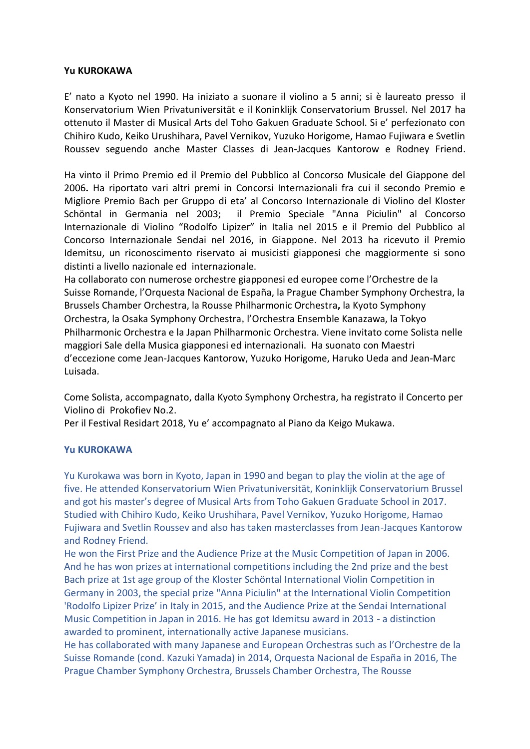## **Yu KUROKAWA**

E' nato a Kyoto nel 1990. Ha iniziato a suonare il violino a 5 anni; si è laureato presso il Konservatorium Wien Privatuniversität e il Koninklijk Conservatorium Brussel. Nel 2017 ha ottenuto il Master di Musical Arts del Toho Gakuen Graduate School. Si e' perfezionato con Chihiro Kudo, Keiko Urushihara, Pavel Vernikov, Yuzuko Horigome, Hamao Fujiwara e Svetlin Roussev seguendo anche Master Classes di Jean-Jacques Kantorow e Rodney Friend.

Ha vinto il Primo Premio ed il Premio del Pubblico al Concorso Musicale del Giappone del 2006**.** Ha riportato vari altri premi in Concorsi Internazionali fra cui il secondo Premio e Migliore Premio Bach per Gruppo di eta' al Concorso Internazionale di Violino del Kloster Schöntal in Germania nel 2003; il Premio Speciale "Anna Piciulin" al Concorso Internazionale di Violino "Rodolfo Lipizer" in Italia nel 2015 e il Premio del Pubblico al Concorso Internazionale Sendai nel 2016, in Giappone. Nel 2013 ha ricevuto il Premio Idemitsu, un riconoscimento riservato ai musicisti giapponesi che maggiormente si sono distinti a livello nazionale ed internazionale.

Ha collaborato con numerose orchestre giapponesi ed europee come l'Orchestre de la Suisse Romande, l'Orquesta Nacional de España, la Prague Chamber Symphony Orchestra, la Brussels Chamber Orchestra, la Rousse Philharmonic Orchestra**,** la Kyoto Symphony Orchestra, la Osaka Symphony Orchestra,l'Orchestra Ensemble Kanazawa, la Tokyo Philharmonic Orchestra e la Japan Philharmonic Orchestra. Viene invitato come Solista nelle maggiori Sale della Musica giapponesi ed internazionali. Ha suonato con Maestri d'eccezione come Jean-Jacques Kantorow, Yuzuko Horigome, Haruko Ueda and Jean-Marc Luisada.

Come Solista, accompagnato, dalla Kyoto Symphony Orchestra, ha registrato il Concerto per Violino di Prokofiev No.2.

Per il Festival Residart 2018, Yu e' accompagnato al Piano da Keigo Mukawa.

## **Yu KUROKAWA**

Yu Kurokawa was born in Kyoto, Japan in 1990 and began to play the violin at the age of five. He attended Konservatorium Wien Privatuniversität, Koninklijk Conservatorium Brussel and got his master's degree of Musical Arts from Toho Gakuen Graduate School in 2017. Studied with Chihiro Kudo, Keiko Urushihara, Pavel Vernikov, Yuzuko Horigome, Hamao Fujiwara and Svetlin Roussev and also has taken masterclasses from Jean-Jacques Kantorow and Rodney Friend.

He won the First Prize and the Audience Prize at the Music Competition of Japan in 2006. And he has won prizes at international competitions including the 2nd prize and the best Bach prize at 1st age group of the Kloster Schöntal International Violin Competition in Germany in 2003, the special prize "Anna Piciulin" at the International Violin Competition 'Rodolfo Lipizer Prize' in Italy in 2015, and the Audience Prize at the Sendai International Music Competition in Japan in 2016. He has got Idemitsu award in 2013 - a distinction awarded to prominent, internationally active Japanese musicians.

He has collaborated with many Japanese and European Orchestras such as l'Orchestre de la Suisse Romande (cond. Kazuki Yamada) in 2014, Orquesta Nacional de España in 2016, The Prague Chamber Symphony Orchestra, Brussels Chamber Orchestra, The Rousse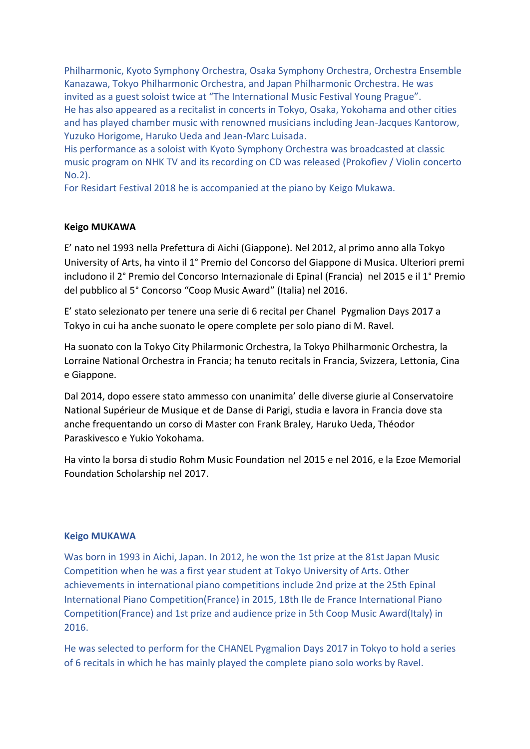Philharmonic, Kyoto Symphony Orchestra, Osaka Symphony Orchestra, Orchestra Ensemble Kanazawa, Tokyo Philharmonic Orchestra, and Japan Philharmonic Orchestra. He was invited as a guest soloist twice at "The International Music Festival Young Prague". He has also appeared as a recitalist in concerts in Tokyo, Osaka, Yokohama and other cities and has played chamber music with renowned musicians including Jean-Jacques Kantorow, Yuzuko Horigome, Haruko Ueda and Jean-Marc Luisada.

His performance as a soloist with Kyoto Symphony Orchestra was broadcasted at classic music program on NHK TV and its recording on CD was released (Prokofiev / Violin concerto No.2).

For Residart Festival 2018 he is accompanied at the piano by Keigo Mukawa.

## **Keigo MUKAWA**

E' nato nel 1993 nella Prefettura di Aichi (Giappone). Nel 2012, al primo anno alla Tokyo University of Arts, ha vinto il 1̇° Premio del Concorso del Giappone di Musica. Ulteriori premi includono il 2° Premio del Concorso Internazionale di Epinal (Francia) nel 2015 e il 1° Premio del pubblico al 5° Concorso "Coop Music Award" (Italia) nel 2016.

E' stato selezionato per tenere una serie di 6 recital per Chanel Pygmalion Days 2017 a Tokyo in cui ha anche suonato le opere complete per solo piano di M. Ravel.

Ha suonato con la Tokyo City Philarmonic Orchestra, la Tokyo Philharmonic Orchestra, la Lorraine National Orchestra in Francia; ha tenuto recitals in Francia, Svizzera, Lettonia, Cina e Giappone.

Dal 2014, dopo essere stato ammesso con unanimita' delle diverse giurie al Conservatoire National Supérieur de Musique et de Danse di Parigi, studia e lavora in Francia dove sta anche frequentando un corso di Master con Frank Braley, Haruko Ueda, Théodor Paraskivesco e Yukio Yokohama.

Ha vinto la borsa di studio Rohm Music Foundation nel 2015 e nel 2016, e la Ezoe Memorial Foundation Scholarship nel 2017.

## **Keigo MUKAWA**

Was born in 1993 in Aichi, Japan. In 2012, he won the 1st prize at the 81st Japan Music Competition when he was a first year student at Tokyo University of Arts. Other achievements in international piano competitions include 2nd prize at the 25th Epinal International Piano Competition(France) in 2015, 18th Ile de France International Piano Competition(France) and 1st prize and audience prize in 5th Coop Music Award(Italy) in 2016.

He was selected to perform for the CHANEL Pygmalion Days 2017 in Tokyo to hold a series of 6 recitals in which he has mainly played the complete piano solo works by Ravel.